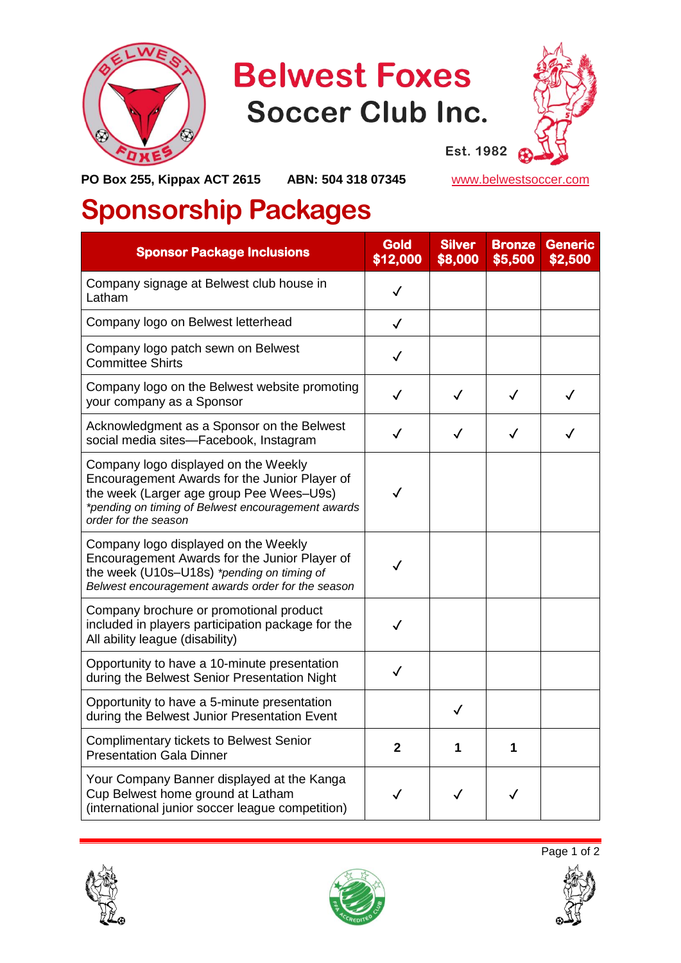

## **Belwest Foxes Soccer Club Inc.**



**PO Box 255, Kippax ACT 2615 ABN: 504 318 07345** [www.belwestsoccer.com](http://www.belwestsoccer.com/)

## **Sponsorship Packages**

| <b>Sponsor Package Inclusions</b>                                                                                                                                                                               | <b>Gold</b><br>\$12,000 | <b>Silver</b><br>\$8,000 | <b>Bronze</b><br>\$5,500 | <b>Generic</b><br>\$2,500 |
|-----------------------------------------------------------------------------------------------------------------------------------------------------------------------------------------------------------------|-------------------------|--------------------------|--------------------------|---------------------------|
| Company signage at Belwest club house in<br>Latham                                                                                                                                                              | √                       |                          |                          |                           |
| Company logo on Belwest letterhead                                                                                                                                                                              | $\checkmark$            |                          |                          |                           |
| Company logo patch sewn on Belwest<br><b>Committee Shirts</b>                                                                                                                                                   | $\checkmark$            |                          |                          |                           |
| Company logo on the Belwest website promoting<br>your company as a Sponsor                                                                                                                                      | $\checkmark$            | $\checkmark$             | $\checkmark$             | $\checkmark$              |
| Acknowledgment as a Sponsor on the Belwest<br>social media sites-Facebook, Instagram                                                                                                                            |                         | ✓                        | ✓                        |                           |
| Company logo displayed on the Weekly<br>Encouragement Awards for the Junior Player of<br>the week (Larger age group Pee Wees-U9s)<br>*pending on timing of Belwest encouragement awards<br>order for the season | $\checkmark$            |                          |                          |                           |
| Company logo displayed on the Weekly<br>Encouragement Awards for the Junior Player of<br>the week (U10s-U18s) *pending on timing of<br>Belwest encouragement awards order for the season                        |                         |                          |                          |                           |
| Company brochure or promotional product<br>included in players participation package for the<br>All ability league (disability)                                                                                 | $\checkmark$            |                          |                          |                           |
| Opportunity to have a 10-minute presentation<br>during the Belwest Senior Presentation Night                                                                                                                    | $\checkmark$            |                          |                          |                           |
| Opportunity to have a 5-minute presentation<br>during the Belwest Junior Presentation Event                                                                                                                     |                         | $\checkmark$             |                          |                           |
| <b>Complimentary tickets to Belwest Senior</b><br><b>Presentation Gala Dinner</b>                                                                                                                               | $\mathbf{2}$            | 1                        | 1                        |                           |
| Your Company Banner displayed at the Kanga<br>Cup Belwest home ground at Latham<br>(international junior soccer league competition)                                                                             | $\checkmark$            | $\checkmark$             | ✓                        |                           |